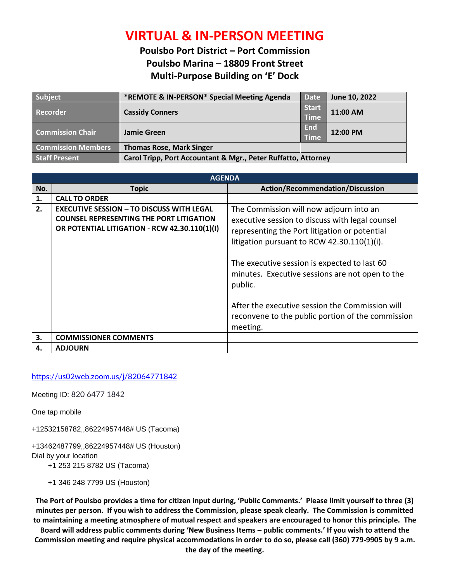## **VIRTUAL & IN-PERSON MEETING**

## **Poulsbo Port District – Port Commission Poulsbo Marina – 18809 Front Street Multi-Purpose Building on 'E' Dock**

| Subject                   | *REMOTE & IN-PERSON* Special Meeting Agenda                   | <b>Date</b>                 | June 10, 2022 |
|---------------------------|---------------------------------------------------------------|-----------------------------|---------------|
| Recorder                  | <b>Cassidy Conners</b>                                        | <b>Start</b><br><b>Time</b> | 11:00 AM      |
| <b>Commission Chair</b>   | Jamie Green                                                   | End<br><b>Time</b>          | 12:00 PM      |
| <b>Commission Members</b> | <b>Thomas Rose, Mark Singer</b>                               |                             |               |
| <b>Staff Present</b>      | Carol Tripp, Port Accountant & Mgr., Peter Ruffatto, Attorney |                             |               |

| <b>AGENDA</b> |                                                                                                                                                      |                                                                                                                                                                                                                                                                                                                                                                                                                     |  |
|---------------|------------------------------------------------------------------------------------------------------------------------------------------------------|---------------------------------------------------------------------------------------------------------------------------------------------------------------------------------------------------------------------------------------------------------------------------------------------------------------------------------------------------------------------------------------------------------------------|--|
| No.           | <b>Topic</b>                                                                                                                                         | <b>Action/Recommendation/Discussion</b>                                                                                                                                                                                                                                                                                                                                                                             |  |
| 1.            | <b>CALL TO ORDER</b>                                                                                                                                 |                                                                                                                                                                                                                                                                                                                                                                                                                     |  |
| 2.            | <b>EXECUTIVE SESSION - TO DISCUSS WITH LEGAL</b><br><b>COUNSEL REPRESENTING THE PORT LITIGATION</b><br>OR POTENTIAL LITIGATION - RCW 42.30.110(1)(I) | The Commission will now adjourn into an<br>executive session to discuss with legal counsel<br>representing the Port litigation or potential<br>litigation pursuant to RCW $42.30.110(1)(i)$ .<br>The executive session is expected to last 60<br>minutes. Executive sessions are not open to the<br>public.<br>After the executive session the Commission will<br>reconvene to the public portion of the commission |  |
| 3.            | <b>COMMISSIONER COMMENTS</b>                                                                                                                         | meeting.                                                                                                                                                                                                                                                                                                                                                                                                            |  |
| 4.            | <b>ADJOURN</b>                                                                                                                                       |                                                                                                                                                                                                                                                                                                                                                                                                                     |  |
|               |                                                                                                                                                      |                                                                                                                                                                                                                                                                                                                                                                                                                     |  |

## <https://us02web.zoom.us/j/82064771842>

Meeting ID: 820 6477 1842

One tap mobile

+12532158782,,86224957448# US (Tacoma)

+13462487799,,86224957448# US (Houston) Dial by your location

+1 253 215 8782 US (Tacoma)

+1 346 248 7799 US (Houston)

**The Port of Poulsbo provides a time for citizen input during, 'Public Comments.' Please limit yourself to three (3) minutes per person. If you wish to address the Commission, please speak clearly. The Commission is committed to maintaining a meeting atmosphere of mutual respect and speakers are encouraged to honor this principle. The** 

**Board will address public comments during 'New Business Items – public comments.' If you wish to attend the Commission meeting and require physical accommodations in order to do so, please call (360) 779-9905 by 9 a.m. the day of the meeting.**